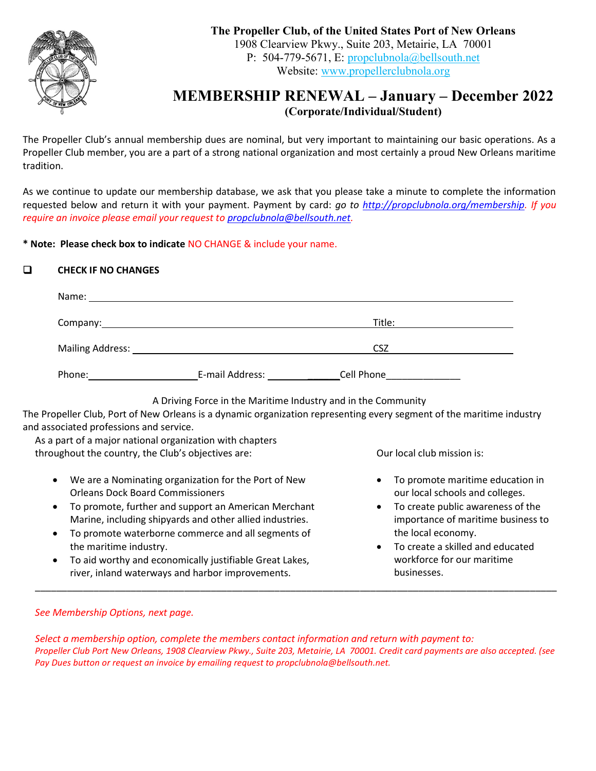

## MEMBERSHIP RENEWAL – January – December 2022 (Corporate/Individual/Student)

The Propeller Club's annual membership dues are nominal, but very important to maintaining our basic operations. As a Propeller Club member, you are a part of a strong national organization and most certainly a proud New Orleans maritime tradition.

As we continue to update our membership database, we ask that you please take a minute to complete the information requested below and return it with your payment. Payment by card: go to http://propclubnola.org/membership. If you require an invoice please email your request to propclubnola@bellsouth.net.

\* Note: Please check box to indicate NO CHANGE & include your name.

## CHECK IF NO CHANGES

| Name:                   |                   |            |  |
|-------------------------|-------------------|------------|--|
|                         | Company: Company: | Title:     |  |
| <b>Mailing Address:</b> |                   | CSZ        |  |
| Phone:                  | E-mail Address:   | Cell Phone |  |

A Driving Force in the Maritime Industry and in the Community

The Propeller Club, Port of New Orleans is a dynamic organization representing every segment of the maritime industry and associated professions and service.

As a part of a major national organization with chapters throughout the country, the Club's objectives are:

- We are a Nominating organization for the Port of New Orleans Dock Board Commissioners
- To promote, further and support an American Merchant Marine, including shipyards and other allied industries.
- To promote waterborne commerce and all segments of the maritime industry.
- To aid worthy and economically justifiable Great Lakes, river, inland waterways and harbor improvements.

Our local club mission is:

- To promote maritime education in our local schools and colleges.
- To create public awareness of the importance of maritime business to the local economy.
- To create a skilled and educated workforce for our maritime businesses.

See Membership Options, next page.

Select a membership option, complete the members contact information and return with payment to: Propeller Club Port New Orleans, 1908 Clearview Pkwy., Suite 203, Metairie, LA 70001. Credit card payments are also accepted. (see Pay Dues button or request an invoice by emailing request to propclubnola@bellsouth.net.

\_\_\_\_\_\_\_\_\_\_\_\_\_\_\_\_\_\_\_\_\_\_\_\_\_\_\_\_\_\_\_\_\_\_\_\_\_\_\_\_\_\_\_\_\_\_\_\_\_\_\_\_\_\_\_\_\_\_\_\_\_\_\_\_\_\_\_\_\_\_\_\_\_\_\_\_\_\_\_\_\_\_\_\_\_\_\_\_\_\_\_\_\_\_\_\_\_\_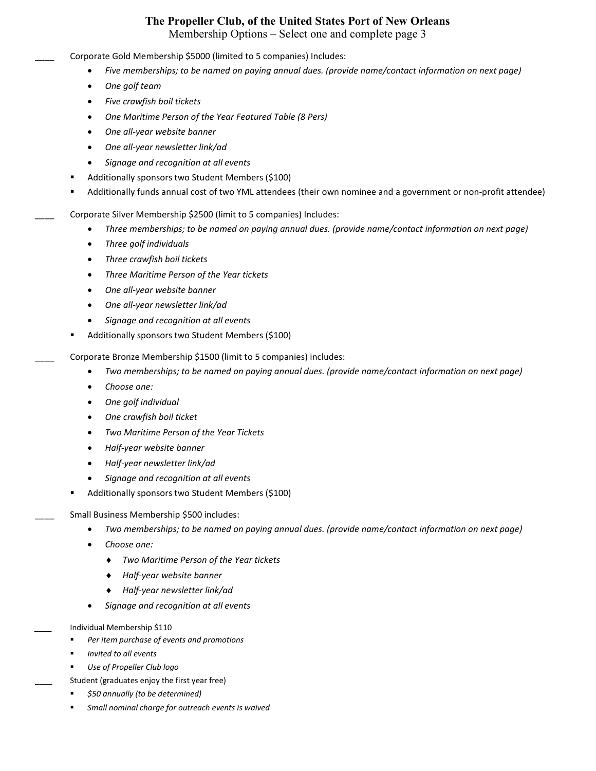## The Propeller Club, of the United States Port of New Orleans

Membership Options – Select one and complete page 3

- Corporate Gold Membership \$5000 (limited to 5 companies) Includes:
	- Five memberships; to be named on paying annual dues. (provide name/contact information on next page)
	- One golf team
	- Five crawfish boil tickets
	- One Maritime Person of the Year Featured Table (8 Pers)
	- One all-year website banner
	- One all-year newsletter link/ad
	- Signage and recognition at all events
	- Additionally sponsors two Student Members (\$100)
- Additionally funds annual cost of two YML attendees (their own nominee and a government or non-profit attendee)
- Corporate Silver Membership \$2500 (limit to 5 companies) Includes:
	- Three memberships; to be named on paying annual dues. (provide name/contact information on next page)
	- Three golf individuals
	- Three crawfish boil tickets
	- Three Maritime Person of the Year tickets
	- One all-year website banner
	- One all-year newsletter link/ad
	- Signage and recognition at all events
	- Additionally sponsors two Student Members (\$100)
- Corporate Bronze Membership \$1500 (limit to 5 companies) includes:
	- Two memberships; to be named on paying annual dues. (provide name/contact information on next page)
	- Choose one:
	- One golf individual
	- One crawfish boil ticket
	- Two Maritime Person of the Year Tickets
	- Half-year website banner
	- Half-year newsletter link/ad
	- Signage and recognition at all events
	- Additionally sponsors two Student Members (\$100)
	- Small Business Membership \$500 includes:
		- Two memberships; to be named on paying annual dues. (provide name/contact information on next page)
		- Choose one:
			- Two Maritime Person of the Year tickets
			- Half-year website banner
			- Half-year newsletter link/ad
		- Signage and recognition at all events
	- \_\_\_\_ Individual Membership \$110
		- Per item purchase of events and promotions
		- Invited to all events
		- Use of Propeller Club logo
		- Student (graduates enjoy the first year free)
			- \$50 annually (to be determined)
		- Small nominal charge for outreach events is waived